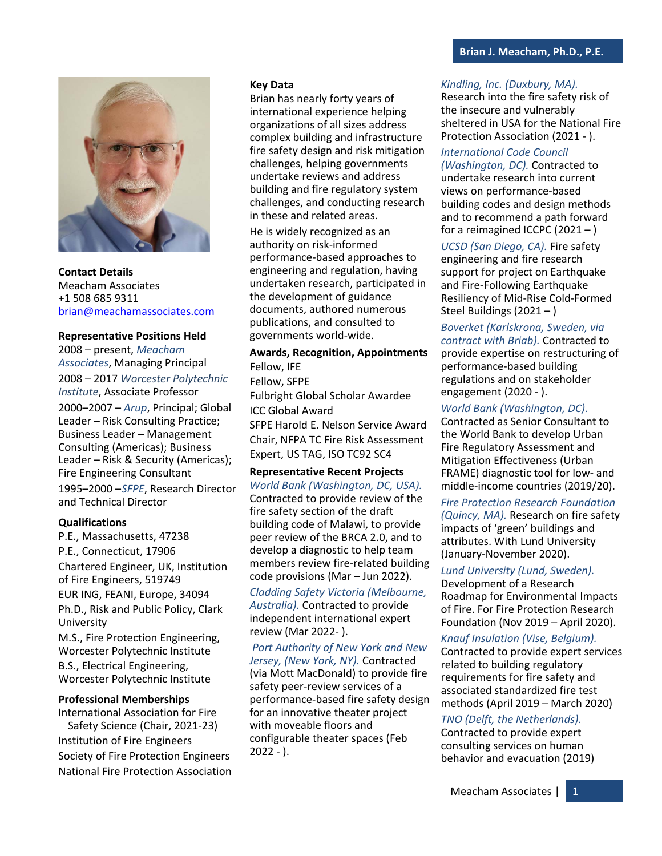

**Contact Details** Meacham Associates +1 508 685 9311 brian@meachamassociates.com

#### **Representative Positions Held**

2008 – present, *Meacham Associates*, Managing Principal 2008 – 2017 *Worcester Polytechnic Institute*, Associate Professor 2000–2007 – *Arup*, Principal; Global Leader – Risk Consulting Practice; Business Leader – Management Consulting (Americas); Business Leader – Risk & Security (Americas); Fire Engineering Consultant 1995–2000 –*SFPE*, Research Director and Technical Director

#### **Qualifications**

P.E., Massachusetts, 47238 P.E., Connecticut, 17906 Chartered Engineer, UK, Institution of Fire Engineers, 519749 EUR ING, FEANI, Europe, 34094 Ph.D., Risk and Public Policy, Clark University

M.S., Fire Protection Engineering, Worcester Polytechnic Institute B.S., Electrical Engineering, Worcester Polytechnic Institute

#### **Professional Memberships**

International Association for Fire Safety Science (Chair, 2021-23) Institution of Fire Engineers Society of Fire Protection Engineers National Fire Protection Association

### **Key Data**

Brian has nearly forty years of international experience helping organizations of all sizes address complex building and infrastructure fire safety design and risk mitigation challenges, helping governments undertake reviews and address building and fire regulatory system challenges, and conducting research in these and related areas.

He is widely recognized as an authority on risk-informed performance-based approaches to engineering and regulation, having undertaken research, participated in the development of guidance documents, authored numerous publications, and consulted to governments world-wide.

# **Awards, Recognition, Appointments** Fellow, IFE Fellow, SFPE Fulbright Global Scholar Awardee ICC Global Award SFPE Harold E. Nelson Service Award Chair, NFPA TC Fire Risk Assessment Expert, US TAG, ISO TC92 SC4

# **Representative Recent Projects**

*World Bank (Washington, DC, USA).*  Contracted to provide review of the fire safety section of the draft building code of Malawi, to provide peer review of the BRCA 2.0, and to develop a diagnostic to help team members review fire-related building code provisions (Mar – Jun 2022).

*Cladding Safety Victoria (Melbourne, Australia).* Contracted to provide independent international expert review (Mar 2022- ).

*Port Authority of New York and New Jersey, (New York, NY).* Contracted (via Mott MacDonald) to provide fire safety peer-review services of a performance-based fire safety design for an innovative theater project with moveable floors and configurable theater spaces (Feb  $2022 - ).$ 

# *Kindling, Inc. (Duxbury, MA).*

Research into the fire safety risk of the insecure and vulnerably sheltered in USA for the National Fire Protection Association (2021 - ).

*International Code Council (Washington, DC).* Contracted to undertake research into current views on performance-based building codes and design methods and to recommend a path forward for a reimagined ICCPC (2021 – )

*UCSD (San Diego, CA).* Fire safety engineering and fire research support for project on Earthquake and Fire-Following Earthquake Resiliency of Mid-Rise Cold-Formed Steel Buildings (2021 – )

*Boverket (Karlskrona, Sweden, via contract with Briab).* Contracted to provide expertise on restructuring of performance-based building regulations and on stakeholder engagement (2020 - ).

*World Bank (Washington, DC).*  Contracted as Senior Consultant to the World Bank to develop Urban Fire Regulatory Assessment and Mitigation Effectiveness (Urban FRAME) diagnostic tool for low- and middle-income countries (2019/20).

# *Fire Protection Research Foundation*

*(Quincy, MA).* Research on fire safety impacts of 'green' buildings and attributes. With Lund University (January-November 2020).

*Lund University (Lund, Sweden).*

Development of a Research Roadmap for Environmental Impacts of Fire. For Fire Protection Research Foundation (Nov 2019 – April 2020).

# *Knauf Insulation (Vise, Belgium).*

Contracted to provide expert services related to building regulatory requirements for fire safety and associated standardized fire test methods (April 2019 – March 2020)

# *TNO (Delft, the Netherlands).*

Contracted to provide expert consulting services on human behavior and evacuation (2019)